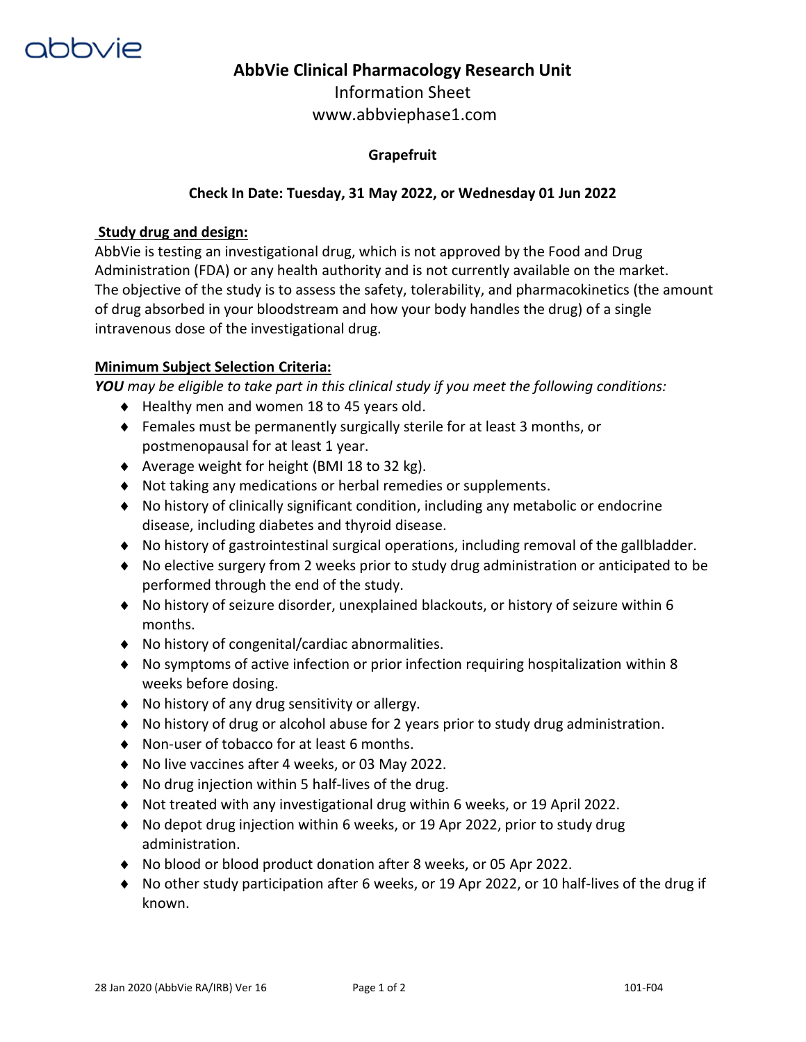

# **AbbVie Clinical Pharmacology Research Unit**

Information Sheet www.abbviephase1.com

## **Grapefruit**

## **Check In Date: Tuesday, 31 May 2022, or Wednesday 01 Jun 2022**

### **Study drug and design:**

AbbVie is testing an investigational drug, which is not approved by the Food and Drug Administration (FDA) or any health authority and is not currently available on the market. The objective of the study is to assess the safety, tolerability, and pharmacokinetics (the amount of drug absorbed in your bloodstream and how your body handles the drug) of a single intravenous dose of the investigational drug.

### **Minimum Subject Selection Criteria:**

*YOU may be eligible to take part in this clinical study if you meet the following conditions:* 

- ◆ Healthy men and women 18 to 45 years old.
- Females must be permanently surgically sterile for at least 3 months, or postmenopausal for at least 1 year.
- Average weight for height (BMI 18 to 32 kg).
- Not taking any medications or herbal remedies or supplements.
- No history of clinically significant condition, including any metabolic or endocrine disease, including diabetes and thyroid disease.
- No history of gastrointestinal surgical operations, including removal of the gallbladder.
- No elective surgery from 2 weeks prior to study drug administration or anticipated to be performed through the end of the study.
- No history of seizure disorder, unexplained blackouts, or history of seizure within 6 months.
- No history of congenital/cardiac abnormalities.
- No symptoms of active infection or prior infection requiring hospitalization within 8 weeks before dosing.
- No history of any drug sensitivity or allergy.
- No history of drug or alcohol abuse for 2 years prior to study drug administration.
- ◆ Non-user of tobacco for at least 6 months.
- ◆ No live vaccines after 4 weeks, or 03 May 2022.
- No drug injection within 5 half-lives of the drug.
- Not treated with any investigational drug within 6 weeks, or 19 April 2022.
- No depot drug injection within 6 weeks, or 19 Apr 2022, prior to study drug administration.
- No blood or blood product donation after 8 weeks, or 05 Apr 2022.
- No other study participation after 6 weeks, or 19 Apr 2022, or 10 half-lives of the drug if known.